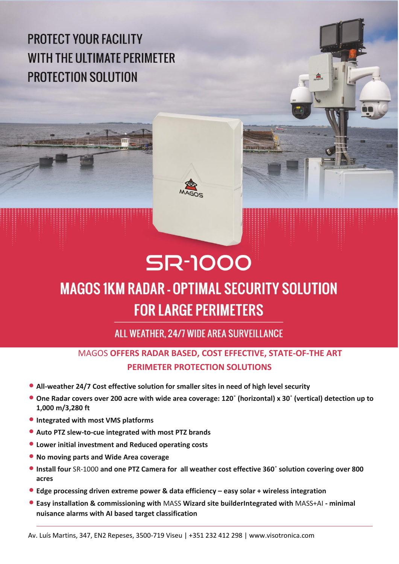**PROTECT YOUR FACILITY WITH THE ULTIMATE PERIMETER PROTECTION SOLUTION** 







## **SR-1000 MAGOS 1KM RADAR - OPTIMAL SECURITY SOLUTION FOR LARGE PERIMETERS**

ALL WEATHER. 24/7 WIDE AREA SURVEILLANCE

## MAGOS **OFFERS RADAR BASED, COST EFFECTIVE, STATE-OF-THE ART PERIMETER PROTECTION SOLUTIONS**

- **• All-weather 24/7 Cost effective solution for smaller sites in need of high level security**
- **• One Radar covers over 200 acre with wide area coverage: 120**˚ **(horizontal) x 30**˚ **(vertical) detection up to 1,000 m/3,280 ft**
- **• Integrated with most VMS platforms**
- **• Auto PTZ slew-to-cue integrated with most PTZ brands**
- **• Lower initial investment and Reduced operating costs**
- **• No moving parts and Wide Area coverage**
- **• Install four** SR-1000 **and one PTZ Camera for all weather cost effective 360**˚ **solution covering over 800 acres**
- **• Edge processing driven extreme power & data efficiency – easy solar + wireless integration**
- **• Easy installation & commissioning with** MASS **Wizard site builderIntegrated with** MASS+AI **- minimal nuisance alarms with AI based target classification**